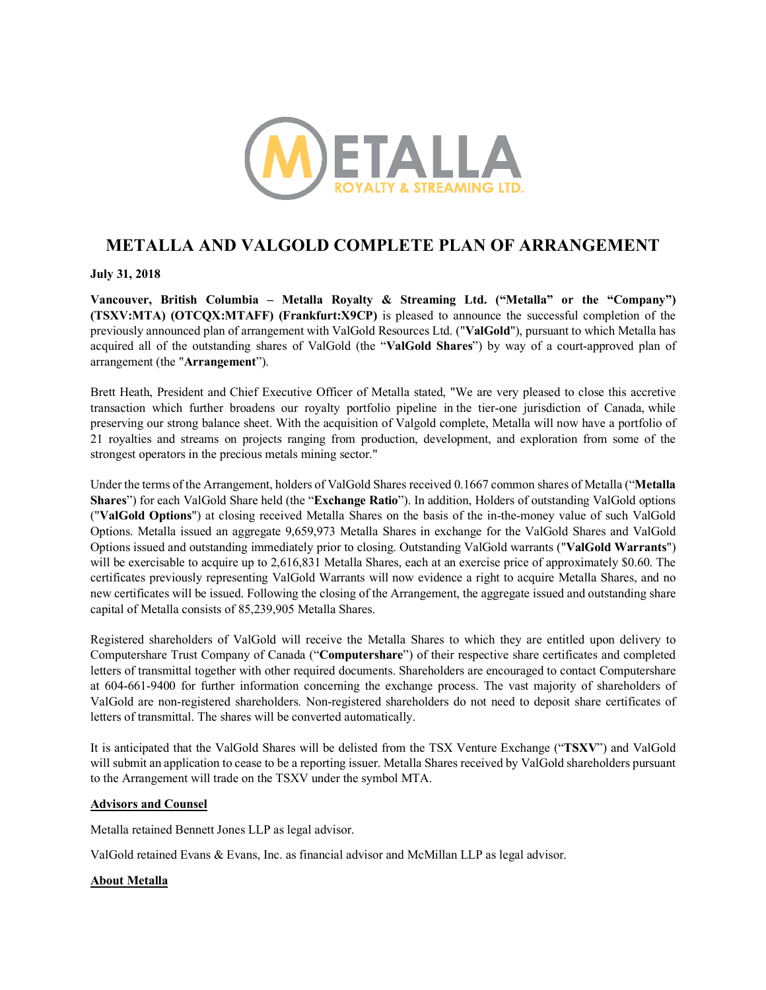

# **METALLA AND VALGOLD COMPLETE PLAN OF ARRANGEMENT**

**July 31, 2018**

**Vancouver, British Columbia – Metalla Royalty & Streaming Ltd. ("Metalla" or the "Company") (TSXV:MTA) (OTCQX:MTAFF) (Frankfurt:X9CP)** is pleased to announce the successful completion of the previously announced plan of arrangement with ValGold Resources Ltd. ("**ValGold**"), pursuant to which Metalla has acquired all of the outstanding shares of ValGold (the "**ValGold Shares**") by way of a court-approved plan of arrangement (the "**Arrangement**").

Brett Heath, President and Chief Executive Officer of Metalla stated, "We are very pleased to close this accretive transaction which further broadens our royalty portfolio pipeline in the tier-one jurisdiction of Canada, while preserving our strong balance sheet. With the acquisition of Valgold complete, Metalla will now have a portfolio of 21 royalties and streams on projects ranging from production, development, and exploration from some of the strongest operators in the precious metals mining sector."

Under the terms of the Arrangement, holders of ValGold Shares received 0.1667 common shares of Metalla ("**Metalla Shares**") for each ValGold Share held (the "**Exchange Ratio**"). In addition, Holders of outstanding ValGold options ("**ValGold Options**") at closing received Metalla Shares on the basis of the in-the-money value of such ValGold Options. Metalla issued an aggregate 9,659,973 Metalla Shares in exchange for the ValGold Shares and ValGold Options issued and outstanding immediately prior to closing. Outstanding ValGold warrants ("**ValGold Warrants**") will be exercisable to acquire up to 2,616,831 Metalla Shares, each at an exercise price of approximately \$0.60. The certificates previously representing ValGold Warrants will now evidence a right to acquire Metalla Shares, and no new certificates will be issued. Following the closing of the Arrangement, the aggregate issued and outstanding share capital of Metalla consists of 85,239,905 Metalla Shares.

Registered shareholders of ValGold will receive the Metalla Shares to which they are entitled upon delivery to Computershare Trust Company of Canada ("**Computershare**") of their respective share certificates and completed letters of transmittal together with other required documents. Shareholders are encouraged to contact Computershare at 604-661-9400 for further information concerning the exchange process. The vast majority of shareholders of ValGold are non-registered shareholders. Non-registered shareholders do not need to deposit share certificates of letters of transmittal. The shares will be converted automatically.

It is anticipated that the ValGold Shares will be delisted from the TSX Venture Exchange ("**TSXV**") and ValGold will submit an application to cease to be a reporting issuer. Metalla Shares received by ValGold shareholders pursuant to the Arrangement will trade on the TSXV under the symbol MTA.

## **Advisors and Counsel**

Metalla retained Bennett Jones LLP as legal advisor.

ValGold retained Evans & Evans, Inc. as financial advisor and McMillan LLP as legal advisor.

## **About Metalla**